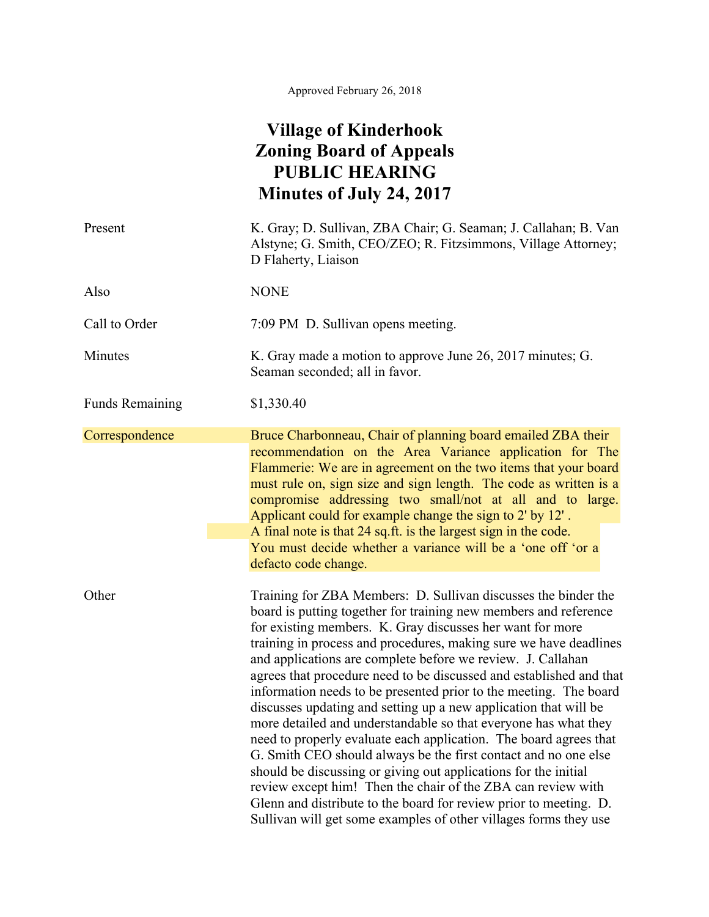Approved February 26, 2018

## **Village of Kinderhook Zoning Board of Appeals PUBLIC HEARING Minutes of July 24, 2017**

| Present                | K. Gray; D. Sullivan, ZBA Chair; G. Seaman; J. Callahan; B. Van<br>Alstyne; G. Smith, CEO/ZEO; R. Fitzsimmons, Village Attorney;<br>D Flaherty, Liaison                                                                                                                                                                                                                                                                                                                                                                                                                                                                                                                                                                                                                                                                                                                                                                                                                                                                                    |
|------------------------|--------------------------------------------------------------------------------------------------------------------------------------------------------------------------------------------------------------------------------------------------------------------------------------------------------------------------------------------------------------------------------------------------------------------------------------------------------------------------------------------------------------------------------------------------------------------------------------------------------------------------------------------------------------------------------------------------------------------------------------------------------------------------------------------------------------------------------------------------------------------------------------------------------------------------------------------------------------------------------------------------------------------------------------------|
| Also                   | <b>NONE</b>                                                                                                                                                                                                                                                                                                                                                                                                                                                                                                                                                                                                                                                                                                                                                                                                                                                                                                                                                                                                                                |
| Call to Order          | 7:09 PM D. Sullivan opens meeting.                                                                                                                                                                                                                                                                                                                                                                                                                                                                                                                                                                                                                                                                                                                                                                                                                                                                                                                                                                                                         |
| Minutes                | K. Gray made a motion to approve June 26, 2017 minutes; G.<br>Seaman seconded; all in favor.                                                                                                                                                                                                                                                                                                                                                                                                                                                                                                                                                                                                                                                                                                                                                                                                                                                                                                                                               |
| <b>Funds Remaining</b> | \$1,330.40                                                                                                                                                                                                                                                                                                                                                                                                                                                                                                                                                                                                                                                                                                                                                                                                                                                                                                                                                                                                                                 |
| Correspondence         | Bruce Charbonneau, Chair of planning board emailed ZBA their<br>recommendation on the Area Variance application for The<br>Flammerie: We are in agreement on the two items that your board<br>must rule on, sign size and sign length. The code as written is a<br>compromise addressing two small/not at all and to large.<br>Applicant could for example change the sign to 2' by 12'.<br>A final note is that 24 sq.ft. is the largest sign in the code.<br>You must decide whether a variance will be a 'one off 'or a<br>defacto code change.                                                                                                                                                                                                                                                                                                                                                                                                                                                                                         |
| Other                  | Training for ZBA Members: D. Sullivan discusses the binder the<br>board is putting together for training new members and reference<br>for existing members. K. Gray discusses her want for more<br>training in process and procedures, making sure we have deadlines<br>and applications are complete before we review. J. Callahan<br>agrees that procedure need to be discussed and established and that<br>information needs to be presented prior to the meeting. The board<br>discusses updating and setting up a new application that will be<br>more detailed and understandable so that everyone has what they<br>need to properly evaluate each application. The board agrees that<br>G. Smith CEO should always be the first contact and no one else<br>should be discussing or giving out applications for the initial<br>review except him! Then the chair of the ZBA can review with<br>Glenn and distribute to the board for review prior to meeting. D.<br>Sullivan will get some examples of other villages forms they use |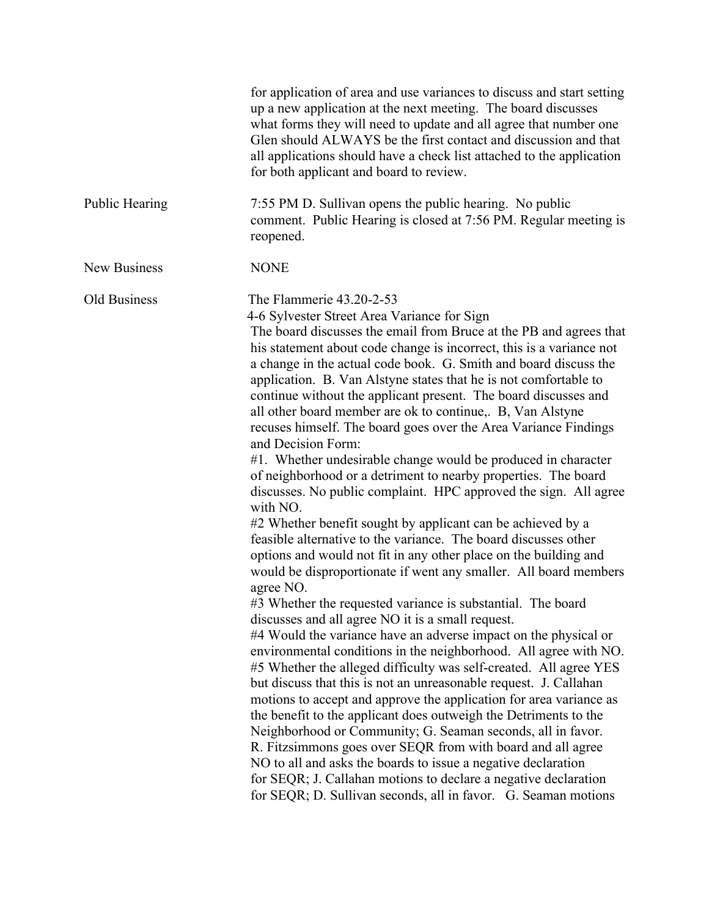|                       | for application of area and use variances to discuss and start setting<br>up a new application at the next meeting. The board discusses<br>what forms they will need to update and all agree that number one<br>Glen should ALWAYS be the first contact and discussion and that<br>all applications should have a check list attached to the application<br>for both applicant and board to review.                                                                                                                                                                                                                                                                                                                                                                                                                                                                                                                                                                                                                                                                                                                                                                                                                                                                                                                                                                                                                                                                                                                                                                                                                                                                                                                                                                                                                                                                                                                                                                                 |
|-----------------------|-------------------------------------------------------------------------------------------------------------------------------------------------------------------------------------------------------------------------------------------------------------------------------------------------------------------------------------------------------------------------------------------------------------------------------------------------------------------------------------------------------------------------------------------------------------------------------------------------------------------------------------------------------------------------------------------------------------------------------------------------------------------------------------------------------------------------------------------------------------------------------------------------------------------------------------------------------------------------------------------------------------------------------------------------------------------------------------------------------------------------------------------------------------------------------------------------------------------------------------------------------------------------------------------------------------------------------------------------------------------------------------------------------------------------------------------------------------------------------------------------------------------------------------------------------------------------------------------------------------------------------------------------------------------------------------------------------------------------------------------------------------------------------------------------------------------------------------------------------------------------------------------------------------------------------------------------------------------------------------|
| <b>Public Hearing</b> | 7:55 PM D. Sullivan opens the public hearing. No public<br>comment. Public Hearing is closed at 7:56 PM. Regular meeting is<br>reopened.                                                                                                                                                                                                                                                                                                                                                                                                                                                                                                                                                                                                                                                                                                                                                                                                                                                                                                                                                                                                                                                                                                                                                                                                                                                                                                                                                                                                                                                                                                                                                                                                                                                                                                                                                                                                                                            |
| <b>New Business</b>   | <b>NONE</b>                                                                                                                                                                                                                                                                                                                                                                                                                                                                                                                                                                                                                                                                                                                                                                                                                                                                                                                                                                                                                                                                                                                                                                                                                                                                                                                                                                                                                                                                                                                                                                                                                                                                                                                                                                                                                                                                                                                                                                         |
| Old Business          | The Flammerie 43.20-2-53<br>4-6 Sylvester Street Area Variance for Sign<br>The board discusses the email from Bruce at the PB and agrees that<br>his statement about code change is incorrect, this is a variance not<br>a change in the actual code book. G. Smith and board discuss the<br>application. B. Van Alstyne states that he is not comfortable to<br>continue without the applicant present. The board discusses and<br>all other board member are ok to continue, B, Van Alstyne<br>recuses himself. The board goes over the Area Variance Findings<br>and Decision Form:<br>#1. Whether undesirable change would be produced in character<br>of neighborhood or a detriment to nearby properties. The board<br>discusses. No public complaint. HPC approved the sign. All agree<br>with NO.<br>#2 Whether benefit sought by applicant can be achieved by a<br>feasible alternative to the variance. The board discusses other<br>options and would not fit in any other place on the building and<br>would be disproportionate if went any smaller. All board members<br>agree NO.<br>#3 Whether the requested variance is substantial. The board<br>discusses and all agree NO it is a small request.<br>#4 Would the variance have an adverse impact on the physical or<br>environmental conditions in the neighborhood. All agree with NO.<br>#5 Whether the alleged difficulty was self-created. All agree YES<br>but discuss that this is not an unreasonable request. J. Callahan<br>motions to accept and approve the application for area variance as<br>the benefit to the applicant does outweigh the Detriments to the<br>Neighborhood or Community; G. Seaman seconds, all in favor.<br>R. Fitzsimmons goes over SEQR from with board and all agree<br>NO to all and asks the boards to issue a negative declaration<br>for SEQR; J. Callahan motions to declare a negative declaration<br>for SEQR; D. Sullivan seconds, all in favor. G. Seaman motions |